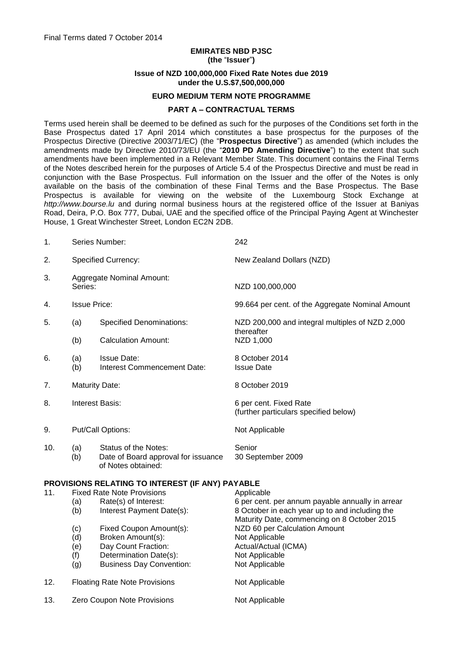# **EMIRATES NBD PJSC (the** "**Issuer**"**) Issue of NZD 100,000,000 Fixed Rate Notes due 2019 under the U.S.\$7,500,000,000**

#### **EURO MEDIUM TERM NOTE PROGRAMME**

#### **PART A – CONTRACTUAL TERMS**

Terms used herein shall be deemed to be defined as such for the purposes of the Conditions set forth in the Base Prospectus dated 17 April 2014 which constitutes a base prospectus for the purposes of the Prospectus Directive (Directive 2003/71/EC) (the "**Prospectus Directive**") as amended (which includes the amendments made by Directive 2010/73/EU (the "**2010 PD Amending Directive**") to the extent that such amendments have been implemented in a Relevant Member State. This document contains the Final Terms of the Notes described herein for the purposes of Article 5.4 of the Prospectus Directive and must be read in conjunction with the Base Prospectus. Full information on the Issuer and the offer of the Notes is only available on the basis of the combination of these Final Terms and the Base Prospectus. The Base Prospectus is available for viewing on the website of the Luxembourg Stock Exchange at *http://www.bourse.lu* and during normal business hours at the registered office of the Issuer at Baniyas Road, Deira, P.O. Box 777, Dubai, UAE and the specified office of the Principal Paying Agent at Winchester House, 1 Great Winchester Street, London EC2N 2DB.

| 1.                                               | Series Number:                                                                                       |                                                                                                                                  | 242                                                                                                                                                             |  |  |  |
|--------------------------------------------------|------------------------------------------------------------------------------------------------------|----------------------------------------------------------------------------------------------------------------------------------|-----------------------------------------------------------------------------------------------------------------------------------------------------------------|--|--|--|
| 2.                                               | <b>Specified Currency:</b>                                                                           |                                                                                                                                  | New Zealand Dollars (NZD)                                                                                                                                       |  |  |  |
| 3.                                               | <b>Aggregate Nominal Amount:</b><br>Series:                                                          |                                                                                                                                  | NZD 100,000,000                                                                                                                                                 |  |  |  |
| 4.                                               | <b>Issue Price:</b>                                                                                  |                                                                                                                                  | 99.664 per cent. of the Aggregate Nominal Amount                                                                                                                |  |  |  |
| 5.                                               | (a)                                                                                                  | <b>Specified Denominations:</b>                                                                                                  | NZD 200,000 and integral multiples of NZD 2,000                                                                                                                 |  |  |  |
|                                                  | (b)                                                                                                  | <b>Calculation Amount:</b>                                                                                                       | thereafter<br>NZD 1,000                                                                                                                                         |  |  |  |
| 6.                                               | (a)<br>(b)                                                                                           | <b>Issue Date:</b><br>Interest Commencement Date:                                                                                | 8 October 2014<br><b>Issue Date</b>                                                                                                                             |  |  |  |
| 7.                                               | <b>Maturity Date:</b>                                                                                |                                                                                                                                  | 8 October 2019                                                                                                                                                  |  |  |  |
| 8.                                               | Interest Basis:                                                                                      |                                                                                                                                  | 6 per cent. Fixed Rate<br>(further particulars specified below)                                                                                                 |  |  |  |
| 9.                                               | Put/Call Options:                                                                                    |                                                                                                                                  | Not Applicable                                                                                                                                                  |  |  |  |
| 10.                                              | (a)<br>(b)                                                                                           | Status of the Notes:<br>Date of Board approval for issuance<br>of Notes obtained:                                                | Senior<br>30 September 2009                                                                                                                                     |  |  |  |
| PROVISIONS RELATING TO INTEREST (IF ANY) PAYABLE |                                                                                                      |                                                                                                                                  |                                                                                                                                                                 |  |  |  |
| 11.                                              | <b>Fixed Rate Note Provisions</b><br>Rate(s) of Interest:<br>(a)<br>Interest Payment Date(s):<br>(b) |                                                                                                                                  | Applicable<br>6 per cent. per annum payable annually in arrear<br>8 October in each year up to and including the<br>Maturity Date, commencing on 8 October 2015 |  |  |  |
|                                                  | (c)<br>(d)<br>(e)<br>(f)<br>(g)                                                                      | Fixed Coupon Amount(s):<br>Broken Amount(s):<br>Day Count Fraction:<br>Determination Date(s):<br><b>Business Day Convention:</b> | NZD 60 per Calculation Amount<br>Not Applicable<br>Actual/Actual (ICMA)<br>Not Applicable<br>Not Applicable                                                     |  |  |  |
| 12.                                              | <b>Floating Rate Note Provisions</b>                                                                 |                                                                                                                                  | Not Applicable                                                                                                                                                  |  |  |  |

13. Zero Coupon Note Provisions Not Applicable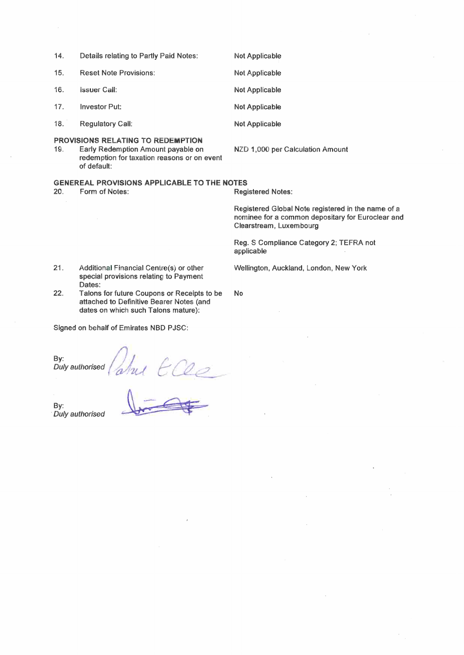| 14.                                                                                                                                                                                     | Details relating to Partly Paid Notes: | <b>Not Applicable</b> |  |  |  |
|-----------------------------------------------------------------------------------------------------------------------------------------------------------------------------------------|----------------------------------------|-----------------------|--|--|--|
| 15.                                                                                                                                                                                     | <b>Reset Note Provisions:</b>          | <b>Not Applicable</b> |  |  |  |
| 16.                                                                                                                                                                                     | <b>Issuer Call:</b>                    | <b>Not Applicable</b> |  |  |  |
| 17.                                                                                                                                                                                     | <b>Investor Put:</b>                   | Not Applicable        |  |  |  |
| 18.                                                                                                                                                                                     | <b>Regulatory Call:</b>                | <b>Not Applicable</b> |  |  |  |
| <b>PROVISIONS RELATING TO REDEMPTION</b><br>19.<br>Early Redemption Amount payable on<br>NZD 1,000 per Calculation Amount<br>redemption for taxation reasons or on event<br>of default: |                                        |                       |  |  |  |
| <b>GENEREAL PROVISIONS APPLICABLE TO THE NOTES</b>                                                                                                                                      |                                        |                       |  |  |  |

20. Form of Notes: **Registered Notes:** 

**No** 

Registered Global Note registered in the name of a nominee for a common depositary for Euroclear and Clearstream, Luxembourg

Reg. S Compliance Category 2; TEFRA not applicable

Wellington, Auckland, London, New York

- $21.$ Additional Financial Centre(s) or other special provisions relating to Payment Dates:
- $22.$ Talons for future Coupons or Receipts to be attached to Definitive Bearer Notes (and dates on which such Talons mature):

Signed on behalf of Emirates NBD PJSC:

By: Duly authorised

John Elle

By: Duly authorised